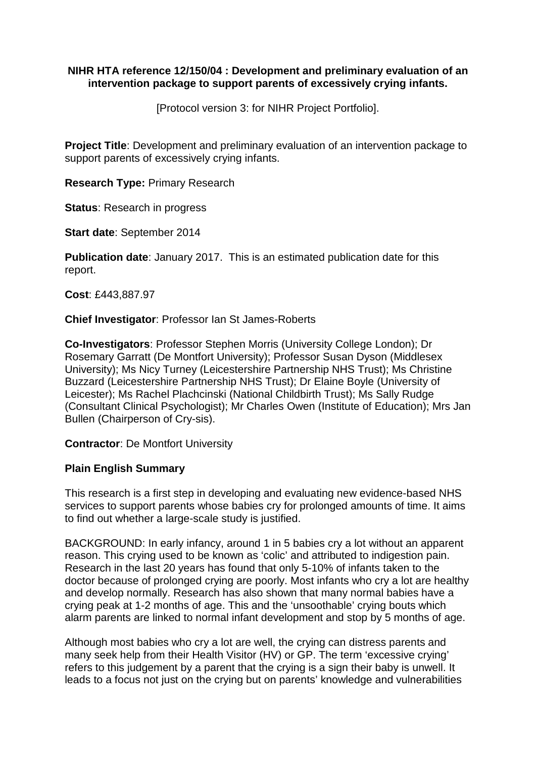### **NIHR HTA reference 12/150/04 : Development and preliminary evaluation of an intervention package to support parents of excessively crying infants.**

[Protocol version 3: for NIHR Project Portfolio].

**Project Title**: Development and preliminary evaluation of an intervention package to support parents of excessively crying infants.

**Research Type:** Primary Research

**Status**: Research in progress

**Start date**: September 2014

**Publication date**: January 2017. This is an estimated publication date for this report.

**Cost**: £443,887.97

**Chief Investigator**: Professor Ian St James-Roberts

**Co-Investigators**: Professor Stephen Morris (University College London); Dr Rosemary Garratt (De Montfort University); Professor Susan Dyson (Middlesex University); Ms Nicy Turney (Leicestershire Partnership NHS Trust); Ms Christine Buzzard (Leicestershire Partnership NHS Trust); Dr Elaine Boyle (University of Leicester); Ms Rachel Plachcinski (National Childbirth Trust); Ms Sally Rudge (Consultant Clinical Psychologist); Mr Charles Owen (Institute of Education); Mrs Jan Bullen (Chairperson of Cry-sis).

**Contractor**: De Montfort University

### **Plain English Summary**

This research is a first step in developing and evaluating new evidence-based NHS services to support parents whose babies cry for prolonged amounts of time. It aims to find out whether a large-scale study is justified.

BACKGROUND: In early infancy, around 1 in 5 babies cry a lot without an apparent reason. This crying used to be known as 'colic' and attributed to indigestion pain. Research in the last 20 years has found that only 5-10% of infants taken to the doctor because of prolonged crying are poorly. Most infants who cry a lot are healthy and develop normally. Research has also shown that many normal babies have a crying peak at 1-2 months of age. This and the 'unsoothable' crying bouts which alarm parents are linked to normal infant development and stop by 5 months of age.

Although most babies who cry a lot are well, the crying can distress parents and many seek help from their Health Visitor (HV) or GP. The term 'excessive crying' refers to this judgement by a parent that the crying is a sign their baby is unwell. It leads to a focus not just on the crying but on parents' knowledge and vulnerabilities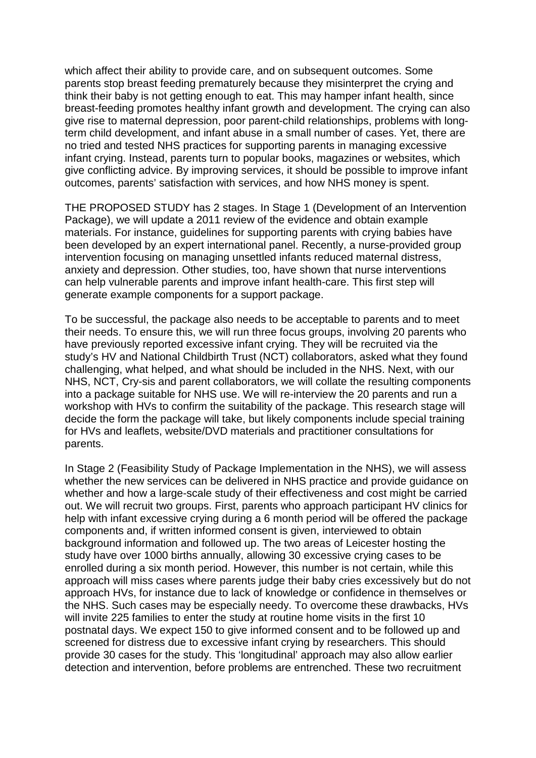which affect their ability to provide care, and on subsequent outcomes. Some parents stop breast feeding prematurely because they misinterpret the crying and think their baby is not getting enough to eat. This may hamper infant health, since breast-feeding promotes healthy infant growth and development. The crying can also give rise to maternal depression, poor parent-child relationships, problems with longterm child development, and infant abuse in a small number of cases. Yet, there are no tried and tested NHS practices for supporting parents in managing excessive infant crying. Instead, parents turn to popular books, magazines or websites, which give conflicting advice. By improving services, it should be possible to improve infant outcomes, parents' satisfaction with services, and how NHS money is spent.

THE PROPOSED STUDY has 2 stages. In Stage 1 (Development of an Intervention Package), we will update a 2011 review of the evidence and obtain example materials. For instance, guidelines for supporting parents with crying babies have been developed by an expert international panel. Recently, a nurse-provided group intervention focusing on managing unsettled infants reduced maternal distress, anxiety and depression. Other studies, too, have shown that nurse interventions can help vulnerable parents and improve infant health-care. This first step will generate example components for a support package.

To be successful, the package also needs to be acceptable to parents and to meet their needs. To ensure this, we will run three focus groups, involving 20 parents who have previously reported excessive infant crying. They will be recruited via the study's HV and National Childbirth Trust (NCT) collaborators, asked what they found challenging, what helped, and what should be included in the NHS. Next, with our NHS, NCT, Cry-sis and parent collaborators, we will collate the resulting components into a package suitable for NHS use. We will re-interview the 20 parents and run a workshop with HVs to confirm the suitability of the package. This research stage will decide the form the package will take, but likely components include special training for HVs and leaflets, website/DVD materials and practitioner consultations for parents.

In Stage 2 (Feasibility Study of Package Implementation in the NHS), we will assess whether the new services can be delivered in NHS practice and provide guidance on whether and how a large-scale study of their effectiveness and cost might be carried out. We will recruit two groups. First, parents who approach participant HV clinics for help with infant excessive crying during a 6 month period will be offered the package components and, if written informed consent is given, interviewed to obtain background information and followed up. The two areas of Leicester hosting the study have over 1000 births annually, allowing 30 excessive crying cases to be enrolled during a six month period. However, this number is not certain, while this approach will miss cases where parents judge their baby cries excessively but do not approach HVs, for instance due to lack of knowledge or confidence in themselves or the NHS. Such cases may be especially needy. To overcome these drawbacks, HVs will invite 225 families to enter the study at routine home visits in the first 10 postnatal days. We expect 150 to give informed consent and to be followed up and screened for distress due to excessive infant crying by researchers. This should provide 30 cases for the study. This 'longitudinal' approach may also allow earlier detection and intervention, before problems are entrenched. These two recruitment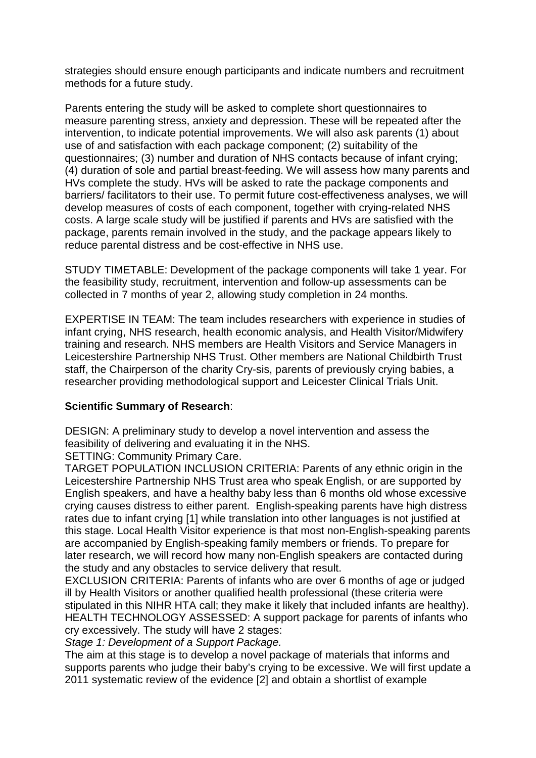strategies should ensure enough participants and indicate numbers and recruitment methods for a future study.

Parents entering the study will be asked to complete short questionnaires to measure parenting stress, anxiety and depression. These will be repeated after the intervention, to indicate potential improvements. We will also ask parents (1) about use of and satisfaction with each package component; (2) suitability of the questionnaires; (3) number and duration of NHS contacts because of infant crying; (4) duration of sole and partial breast-feeding. We will assess how many parents and HVs complete the study. HVs will be asked to rate the package components and barriers/ facilitators to their use. To permit future cost-effectiveness analyses, we will develop measures of costs of each component, together with crying-related NHS costs. A large scale study will be justified if parents and HVs are satisfied with the package, parents remain involved in the study, and the package appears likely to reduce parental distress and be cost-effective in NHS use.

STUDY TIMETABLE: Development of the package components will take 1 year. For the feasibility study, recruitment, intervention and follow-up assessments can be collected in 7 months of year 2, allowing study completion in 24 months.

EXPERTISE IN TEAM: The team includes researchers with experience in studies of infant crying, NHS research, health economic analysis, and Health Visitor/Midwifery training and research. NHS members are Health Visitors and Service Managers in Leicestershire Partnership NHS Trust. Other members are National Childbirth Trust staff, the Chairperson of the charity Cry-sis, parents of previously crying babies, a researcher providing methodological support and Leicester Clinical Trials Unit.

### **Scientific Summary of Research**:

DESIGN: A preliminary study to develop a novel intervention and assess the feasibility of delivering and evaluating it in the NHS.

SETTING: Community Primary Care.

TARGET POPULATION INCLUSION CRITERIA: Parents of any ethnic origin in the Leicestershire Partnership NHS Trust area who speak English, or are supported by English speakers, and have a healthy baby less than 6 months old whose excessive crying causes distress to either parent. English-speaking parents have high distress rates due to infant crying [1] while translation into other languages is not justified at this stage. Local Health Visitor experience is that most non-English-speaking parents are accompanied by English-speaking family members or friends. To prepare for later research, we will record how many non-English speakers are contacted during the study and any obstacles to service delivery that result.

EXCLUSION CRITERIA: Parents of infants who are over 6 months of age or judged ill by Health Visitors or another qualified health professional (these criteria were stipulated in this NIHR HTA call; they make it likely that included infants are healthy). HEALTH TECHNOLOGY ASSESSED: A support package for parents of infants who cry excessively. The study will have 2 stages:

*Stage 1: Development of a Support Package.*

The aim at this stage is to develop a novel package of materials that informs and supports parents who judge their baby's crying to be excessive. We will first update a 2011 systematic review of the evidence [2] and obtain a shortlist of example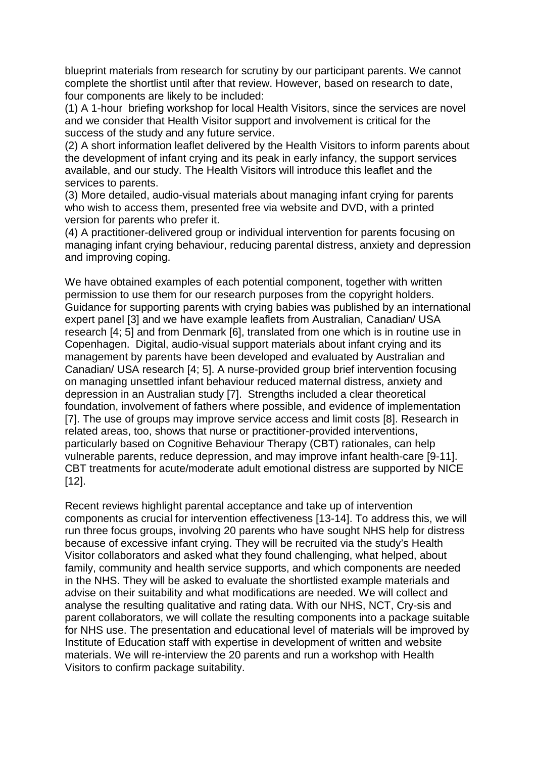blueprint materials from research for scrutiny by our participant parents. We cannot complete the shortlist until after that review. However, based on research to date, four components are likely to be included:

(1) A 1-hour briefing workshop for local Health Visitors, since the services are novel and we consider that Health Visitor support and involvement is critical for the success of the study and any future service.

(2) A short information leaflet delivered by the Health Visitors to inform parents about the development of infant crying and its peak in early infancy, the support services available, and our study. The Health Visitors will introduce this leaflet and the services to parents.

(3) More detailed, audio-visual materials about managing infant crying for parents who wish to access them, presented free via website and DVD, with a printed version for parents who prefer it.

(4) A practitioner-delivered group or individual intervention for parents focusing on managing infant crying behaviour, reducing parental distress, anxiety and depression and improving coping.

We have obtained examples of each potential component, together with written permission to use them for our research purposes from the copyright holders. Guidance for supporting parents with crying babies was published by an international expert panel [3] and we have example leaflets from Australian, Canadian/ USA research [4; 5] and from Denmark [6], translated from one which is in routine use in Copenhagen. Digital, audio-visual support materials about infant crying and its management by parents have been developed and evaluated by Australian and Canadian/ USA research [4; 5]. A nurse-provided group brief intervention focusing on managing unsettled infant behaviour reduced maternal distress, anxiety and depression in an Australian study [7]. Strengths included a clear theoretical foundation, involvement of fathers where possible, and evidence of implementation [7]. The use of groups may improve service access and limit costs [8]. Research in related areas, too, shows that nurse or practitioner-provided interventions, particularly based on Cognitive Behaviour Therapy (CBT) rationales, can help vulnerable parents, reduce depression, and may improve infant health-care [9-11]. CBT treatments for acute/moderate adult emotional distress are supported by NICE [12].

Recent reviews highlight parental acceptance and take up of intervention components as crucial for intervention effectiveness [13-14]. To address this, we will run three focus groups, involving 20 parents who have sought NHS help for distress because of excessive infant crying. They will be recruited via the study's Health Visitor collaborators and asked what they found challenging, what helped, about family, community and health service supports, and which components are needed in the NHS. They will be asked to evaluate the shortlisted example materials and advise on their suitability and what modifications are needed. We will collect and analyse the resulting qualitative and rating data. With our NHS, NCT, Cry-sis and parent collaborators, we will collate the resulting components into a package suitable for NHS use. The presentation and educational level of materials will be improved by Institute of Education staff with expertise in development of written and website materials. We will re-interview the 20 parents and run a workshop with Health Visitors to confirm package suitability.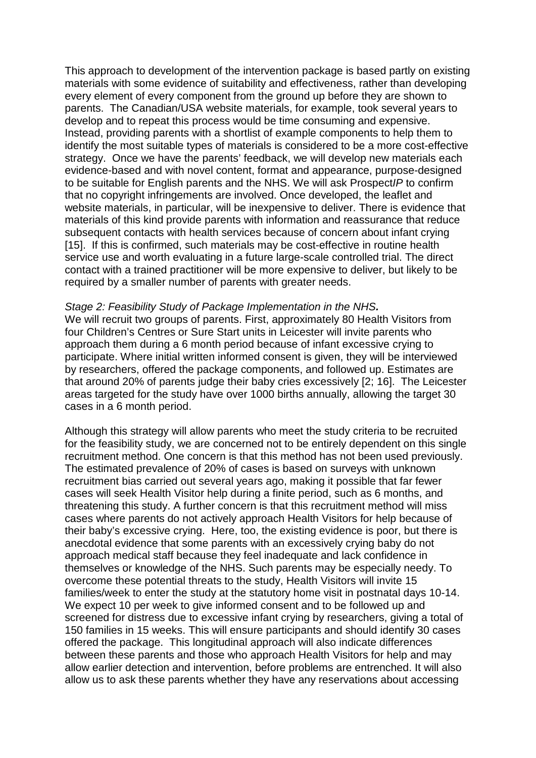This approach to development of the intervention package is based partly on existing materials with some evidence of suitability and effectiveness, rather than developing every element of every component from the ground up before they are shown to parents. The Canadian/USA website materials, for example, took several years to develop and to repeat this process would be time consuming and expensive. Instead, providing parents with a shortlist of example components to help them to identify the most suitable types of materials is considered to be a more cost-effective strategy. Once we have the parents' feedback, we will develop new materials each evidence-based and with novel content, format and appearance, purpose-designed to be suitable for English parents and the NHS. We will ask Prospect*IP* to confirm that no copyright infringements are involved. Once developed, the leaflet and website materials, in particular, will be inexpensive to deliver. There is evidence that materials of this kind provide parents with information and reassurance that reduce subsequent contacts with health services because of concern about infant crying [15]. If this is confirmed, such materials may be cost-effective in routine health service use and worth evaluating in a future large-scale controlled trial. The direct contact with a trained practitioner will be more expensive to deliver, but likely to be required by a smaller number of parents with greater needs.

#### *Stage 2: Feasibility Study of Package Implementation in the NHS.*

We will recruit two groups of parents. First, approximately 80 Health Visitors from four Children's Centres or Sure Start units in Leicester will invite parents who approach them during a 6 month period because of infant excessive crying to participate. Where initial written informed consent is given, they will be interviewed by researchers, offered the package components, and followed up. Estimates are that around 20% of parents judge their baby cries excessively [2; 16]. The Leicester areas targeted for the study have over 1000 births annually, allowing the target 30 cases in a 6 month period.

Although this strategy will allow parents who meet the study criteria to be recruited for the feasibility study, we are concerned not to be entirely dependent on this single recruitment method. One concern is that this method has not been used previously. The estimated prevalence of 20% of cases is based on surveys with unknown recruitment bias carried out several years ago, making it possible that far fewer cases will seek Health Visitor help during a finite period, such as 6 months, and threatening this study. A further concern is that this recruitment method will miss cases where parents do not actively approach Health Visitors for help because of their baby's excessive crying. Here, too, the existing evidence is poor, but there is anecdotal evidence that some parents with an excessively crying baby do not approach medical staff because they feel inadequate and lack confidence in themselves or knowledge of the NHS. Such parents may be especially needy. To overcome these potential threats to the study, Health Visitors will invite 15 families/week to enter the study at the statutory home visit in postnatal days 10-14. We expect 10 per week to give informed consent and to be followed up and screened for distress due to excessive infant crying by researchers, giving a total of 150 families in 15 weeks. This will ensure participants and should identify 30 cases offered the package. This longitudinal approach will also indicate differences between these parents and those who approach Health Visitors for help and may allow earlier detection and intervention, before problems are entrenched. It will also allow us to ask these parents whether they have any reservations about accessing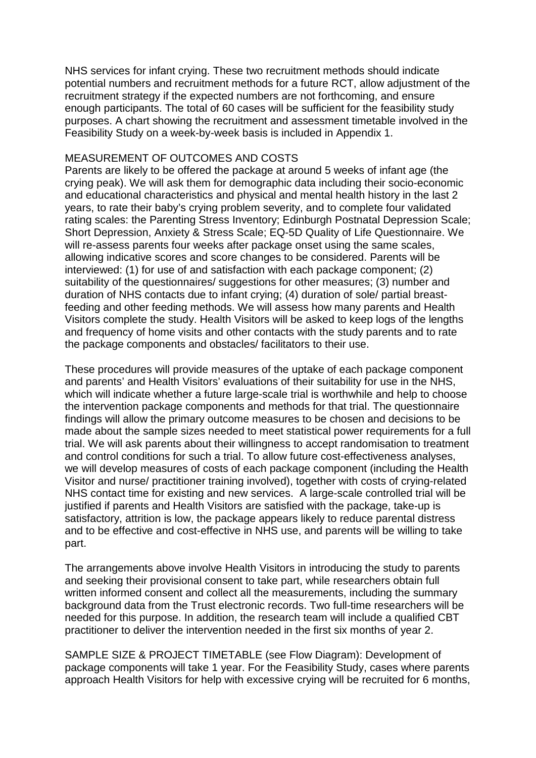NHS services for infant crying. These two recruitment methods should indicate potential numbers and recruitment methods for a future RCT, allow adjustment of the recruitment strategy if the expected numbers are not forthcoming, and ensure enough participants. The total of 60 cases will be sufficient for the feasibility study purposes. A chart showing the recruitment and assessment timetable involved in the Feasibility Study on a week-by-week basis is included in Appendix 1.

#### MEASUREMENT OF OUTCOMES AND COSTS

Parents are likely to be offered the package at around 5 weeks of infant age (the crying peak). We will ask them for demographic data including their socio-economic and educational characteristics and physical and mental health history in the last 2 years, to rate their baby's crying problem severity, and to complete four validated rating scales: the Parenting Stress Inventory; Edinburgh Postnatal Depression Scale; Short Depression, Anxiety & Stress Scale; EQ-5D Quality of Life Questionnaire. We will re-assess parents four weeks after package onset using the same scales, allowing indicative scores and score changes to be considered. Parents will be interviewed: (1) for use of and satisfaction with each package component; (2) suitability of the questionnaires/ suggestions for other measures; (3) number and duration of NHS contacts due to infant crying; (4) duration of sole/ partial breastfeeding and other feeding methods. We will assess how many parents and Health Visitors complete the study. Health Visitors will be asked to keep logs of the lengths and frequency of home visits and other contacts with the study parents and to rate the package components and obstacles/ facilitators to their use.

These procedures will provide measures of the uptake of each package component and parents' and Health Visitors' evaluations of their suitability for use in the NHS, which will indicate whether a future large-scale trial is worthwhile and help to choose the intervention package components and methods for that trial. The questionnaire findings will allow the primary outcome measures to be chosen and decisions to be made about the sample sizes needed to meet statistical power requirements for a full trial. We will ask parents about their willingness to accept randomisation to treatment and control conditions for such a trial. To allow future cost-effectiveness analyses, we will develop measures of costs of each package component (including the Health Visitor and nurse/ practitioner training involved), together with costs of crying-related NHS contact time for existing and new services. A large-scale controlled trial will be justified if parents and Health Visitors are satisfied with the package, take-up is satisfactory, attrition is low, the package appears likely to reduce parental distress and to be effective and cost-effective in NHS use, and parents will be willing to take part.

The arrangements above involve Health Visitors in introducing the study to parents and seeking their provisional consent to take part, while researchers obtain full written informed consent and collect all the measurements, including the summary background data from the Trust electronic records. Two full-time researchers will be needed for this purpose. In addition, the research team will include a qualified CBT practitioner to deliver the intervention needed in the first six months of year 2.

SAMPLE SIZE & PROJECT TIMETABLE (see Flow Diagram): Development of package components will take 1 year. For the Feasibility Study, cases where parents approach Health Visitors for help with excessive crying will be recruited for 6 months,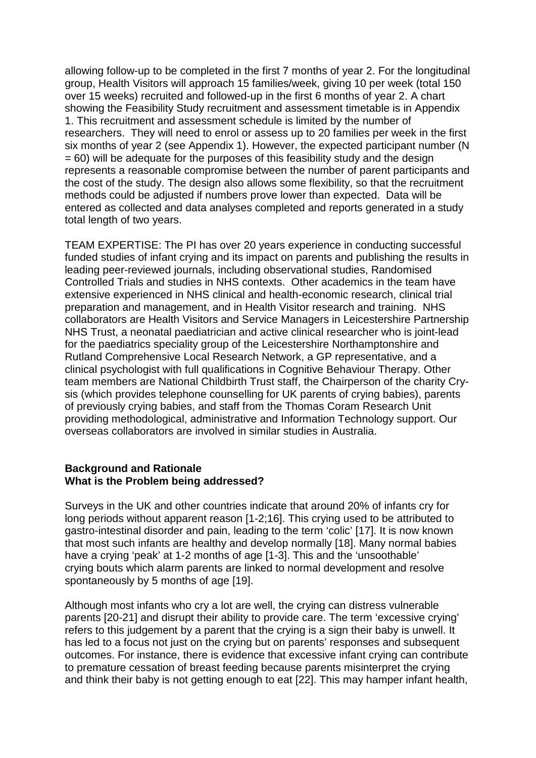allowing follow-up to be completed in the first 7 months of year 2. For the longitudinal group, Health Visitors will approach 15 families/week, giving 10 per week (total 150 over 15 weeks) recruited and followed-up in the first 6 months of year 2. A chart showing the Feasibility Study recruitment and assessment timetable is in Appendix 1. This recruitment and assessment schedule is limited by the number of researchers. They will need to enrol or assess up to 20 families per week in the first six months of year 2 (see Appendix 1). However, the expected participant number (N  $= 60$ ) will be adequate for the purposes of this feasibility study and the design represents a reasonable compromise between the number of parent participants and the cost of the study. The design also allows some flexibility, so that the recruitment methods could be adjusted if numbers prove lower than expected. Data will be entered as collected and data analyses completed and reports generated in a study total length of two years.

TEAM EXPERTISE: The PI has over 20 years experience in conducting successful funded studies of infant crying and its impact on parents and publishing the results in leading peer-reviewed journals, including observational studies, Randomised Controlled Trials and studies in NHS contexts. Other academics in the team have extensive experienced in NHS clinical and health-economic research, clinical trial preparation and management, and in Health Visitor research and training. NHS collaborators are Health Visitors and Service Managers in Leicestershire Partnership NHS Trust, a neonatal paediatrician and active clinical researcher who is joint-lead for the paediatrics speciality group of the Leicestershire Northamptonshire and Rutland Comprehensive Local Research Network, a GP representative, and a clinical psychologist with full qualifications in Cognitive Behaviour Therapy. Other team members are National Childbirth Trust staff, the Chairperson of the charity Crysis (which provides telephone counselling for UK parents of crying babies), parents of previously crying babies, and staff from the Thomas Coram Research Unit providing methodological, administrative and Information Technology support. Our overseas collaborators are involved in similar studies in Australia.

#### **Background and Rationale What is the Problem being addressed?**

Surveys in the UK and other countries indicate that around 20% of infants cry for long periods without apparent reason [1-2;16]. This crying used to be attributed to gastro-intestinal disorder and pain, leading to the term 'colic' [17]. It is now known that most such infants are healthy and develop normally [18]. Many normal babies have a crying 'peak' at 1-2 months of age [1-3]. This and the 'unsoothable' crying bouts which alarm parents are linked to normal development and resolve spontaneously by 5 months of age [19].

Although most infants who cry a lot are well, the crying can distress vulnerable parents [20-21] and disrupt their ability to provide care. The term 'excessive crying' refers to this judgement by a parent that the crying is a sign their baby is unwell. It has led to a focus not just on the crying but on parents' responses and subsequent outcomes. For instance, there is evidence that excessive infant crying can contribute to premature cessation of breast feeding because parents misinterpret the crying and think their baby is not getting enough to eat [22]. This may hamper infant health,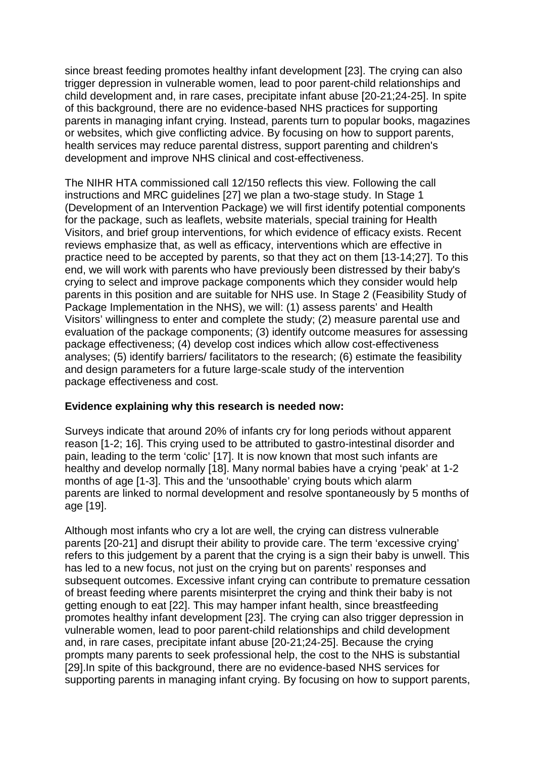since breast feeding promotes healthy infant development [23]. The crying can also trigger depression in vulnerable women, lead to poor parent-child relationships and child development and, in rare cases, precipitate infant abuse [20-21;24-25]. In spite of this background, there are no evidence-based NHS practices for supporting parents in managing infant crying. Instead, parents turn to popular books, magazines or websites, which give conflicting advice. By focusing on how to support parents, health services may reduce parental distress, support parenting and children's development and improve NHS clinical and cost-effectiveness.

The NIHR HTA commissioned call 12/150 reflects this view. Following the call instructions and MRC guidelines [27] we plan a two-stage study. In Stage 1 (Development of an Intervention Package) we will first identify potential components for the package, such as leaflets, website materials, special training for Health Visitors, and brief group interventions, for which evidence of efficacy exists. Recent reviews emphasize that, as well as efficacy, interventions which are effective in practice need to be accepted by parents, so that they act on them [13-14;27]. To this end, we will work with parents who have previously been distressed by their baby's crying to select and improve package components which they consider would help parents in this position and are suitable for NHS use. In Stage 2 (Feasibility Study of Package Implementation in the NHS), we will: (1) assess parents' and Health Visitors' willingness to enter and complete the study; (2) measure parental use and evaluation of the package components; (3) identify outcome measures for assessing package effectiveness; (4) develop cost indices which allow cost-effectiveness analyses; (5) identify barriers/ facilitators to the research; (6) estimate the feasibility and design parameters for a future large-scale study of the intervention package effectiveness and cost.

## **Evidence explaining why this research is needed now:**

Surveys indicate that around 20% of infants cry for long periods without apparent reason [1-2; 16]. This crying used to be attributed to gastro-intestinal disorder and pain, leading to the term 'colic' [17]. It is now known that most such infants are healthy and develop normally [18]. Many normal babies have a crying 'peak' at 1-2 months of age [1-3]. This and the 'unsoothable' crying bouts which alarm parents are linked to normal development and resolve spontaneously by 5 months of age [19].

Although most infants who cry a lot are well, the crying can distress vulnerable parents [20-21] and disrupt their ability to provide care. The term 'excessive crying' refers to this judgement by a parent that the crying is a sign their baby is unwell. This has led to a new focus, not just on the crying but on parents' responses and subsequent outcomes. Excessive infant crying can contribute to premature cessation of breast feeding where parents misinterpret the crying and think their baby is not getting enough to eat [22]. This may hamper infant health, since breastfeeding promotes healthy infant development [23]. The crying can also trigger depression in vulnerable women, lead to poor parent-child relationships and child development and, in rare cases, precipitate infant abuse [20-21;24-25]. Because the crying prompts many parents to seek professional help, the cost to the NHS is substantial [29].In spite of this background, there are no evidence-based NHS services for supporting parents in managing infant crying. By focusing on how to support parents,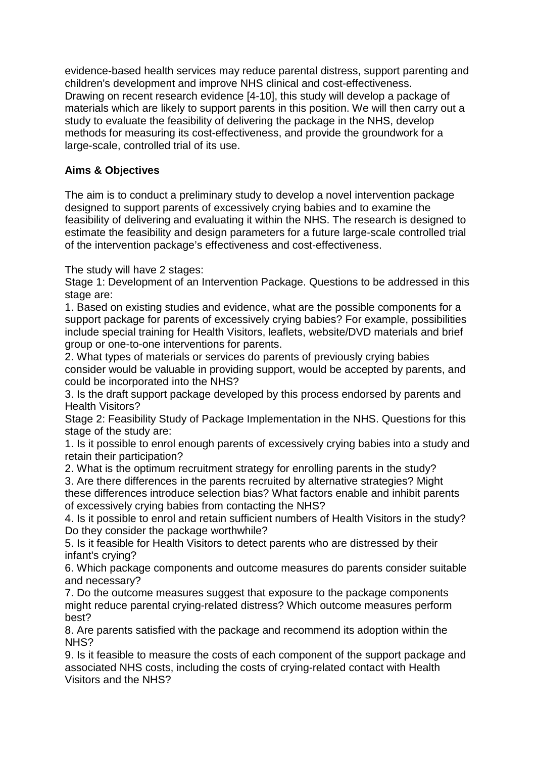evidence-based health services may reduce parental distress, support parenting and children's development and improve NHS clinical and cost-effectiveness. Drawing on recent research evidence [4-10], this study will develop a package of materials which are likely to support parents in this position. We will then carry out a study to evaluate the feasibility of delivering the package in the NHS, develop methods for measuring its cost-effectiveness, and provide the groundwork for a large-scale, controlled trial of its use.

# **Aims & Objectives**

The aim is to conduct a preliminary study to develop a novel intervention package designed to support parents of excessively crying babies and to examine the feasibility of delivering and evaluating it within the NHS. The research is designed to estimate the feasibility and design parameters for a future large-scale controlled trial of the intervention package's effectiveness and cost-effectiveness.

The study will have 2 stages:

Stage 1: Development of an Intervention Package. Questions to be addressed in this stage are:

1. Based on existing studies and evidence, what are the possible components for a support package for parents of excessively crying babies? For example, possibilities include special training for Health Visitors, leaflets, website/DVD materials and brief group or one-to-one interventions for parents.

2. What types of materials or services do parents of previously crying babies consider would be valuable in providing support, would be accepted by parents, and could be incorporated into the NHS?

3. Is the draft support package developed by this process endorsed by parents and Health Visitors?

Stage 2: Feasibility Study of Package Implementation in the NHS. Questions for this stage of the study are:

1. Is it possible to enrol enough parents of excessively crying babies into a study and retain their participation?

2. What is the optimum recruitment strategy for enrolling parents in the study?

3. Are there differences in the parents recruited by alternative strategies? Might these differences introduce selection bias? What factors enable and inhibit parents of excessively crying babies from contacting the NHS?

4. Is it possible to enrol and retain sufficient numbers of Health Visitors in the study? Do they consider the package worthwhile?

5. Is it feasible for Health Visitors to detect parents who are distressed by their infant's crying?

6. Which package components and outcome measures do parents consider suitable and necessary?

7. Do the outcome measures suggest that exposure to the package components might reduce parental crying-related distress? Which outcome measures perform best?

8. Are parents satisfied with the package and recommend its adoption within the NHS?

9. Is it feasible to measure the costs of each component of the support package and associated NHS costs, including the costs of crying-related contact with Health Visitors and the NHS?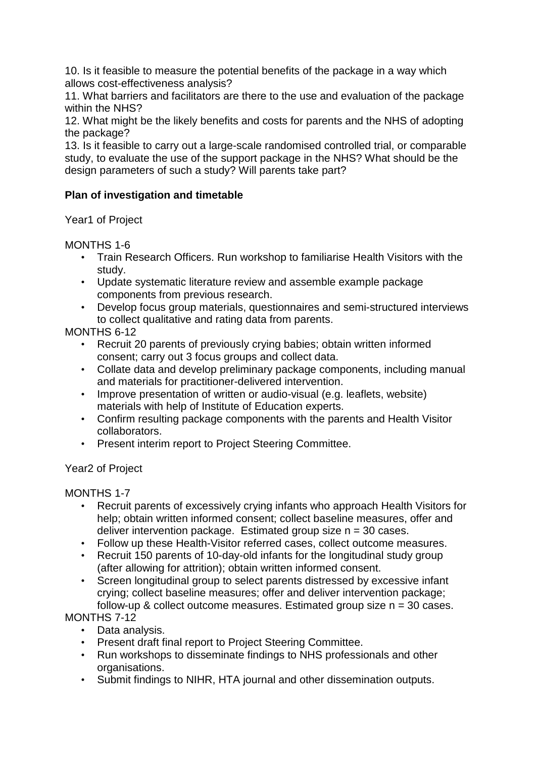10. Is it feasible to measure the potential benefits of the package in a way which allows cost-effectiveness analysis?

11. What barriers and facilitators are there to the use and evaluation of the package within the NHS?

12. What might be the likely benefits and costs for parents and the NHS of adopting the package?

13. Is it feasible to carry out a large-scale randomised controlled trial, or comparable study, to evaluate the use of the support package in the NHS? What should be the design parameters of such a study? Will parents take part?

## **Plan of investigation and timetable**

Year1 of Project

MONTHS 1-6

- Train Research Officers. Run workshop to familiarise Health Visitors with the study.
- Update systematic literature review and assemble example package components from previous research.
- Develop focus group materials, questionnaires and semi-structured interviews to collect qualitative and rating data from parents.

MONTHS 6-12

- Recruit 20 parents of previously crying babies; obtain written informed consent; carry out 3 focus groups and collect data.
- Collate data and develop preliminary package components, including manual and materials for practitioner-delivered intervention.
- Improve presentation of written or audio-visual (e.g. leaflets, website) materials with help of Institute of Education experts.
- Confirm resulting package components with the parents and Health Visitor collaborators.
- Present interim report to Project Steering Committee.

# Year2 of Project

MONTHS 1-7

- Recruit parents of excessively crying infants who approach Health Visitors for help; obtain written informed consent; collect baseline measures, offer and deliver intervention package. Estimated group size  $n = 30$  cases.
- Follow up these Health-Visitor referred cases, collect outcome measures.
- Recruit 150 parents of 10-day-old infants for the longitudinal study group (after allowing for attrition); obtain written informed consent.
- Screen longitudinal group to select parents distressed by excessive infant crying; collect baseline measures; offer and deliver intervention package; follow-up & collect outcome measures. Estimated group size  $n = 30$  cases.

# MONTHS 7-12

- Data analysis.
- Present draft final report to Project Steering Committee.
- Run workshops to disseminate findings to NHS professionals and other organisations.
- Submit findings to NIHR, HTA journal and other dissemination outputs.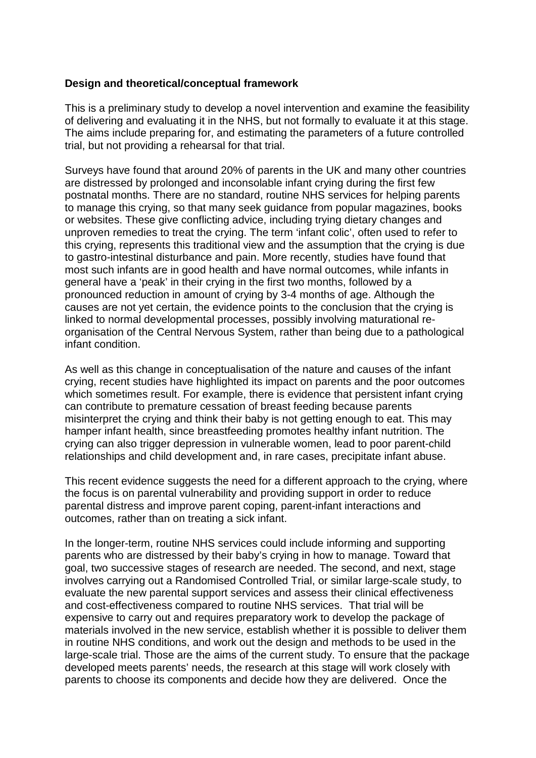#### **Design and theoretical/conceptual framework**

This is a preliminary study to develop a novel intervention and examine the feasibility of delivering and evaluating it in the NHS, but not formally to evaluate it at this stage. The aims include preparing for, and estimating the parameters of a future controlled trial, but not providing a rehearsal for that trial.

Surveys have found that around 20% of parents in the UK and many other countries are distressed by prolonged and inconsolable infant crying during the first few postnatal months. There are no standard, routine NHS services for helping parents to manage this crying, so that many seek guidance from popular magazines, books or websites. These give conflicting advice, including trying dietary changes and unproven remedies to treat the crying. The term 'infant colic', often used to refer to this crying, represents this traditional view and the assumption that the crying is due to gastro-intestinal disturbance and pain. More recently, studies have found that most such infants are in good health and have normal outcomes, while infants in general have a 'peak' in their crying in the first two months, followed by a pronounced reduction in amount of crying by 3-4 months of age. Although the causes are not yet certain, the evidence points to the conclusion that the crying is linked to normal developmental processes, possibly involving maturational reorganisation of the Central Nervous System, rather than being due to a pathological infant condition.

As well as this change in conceptualisation of the nature and causes of the infant crying, recent studies have highlighted its impact on parents and the poor outcomes which sometimes result. For example, there is evidence that persistent infant crying can contribute to premature cessation of breast feeding because parents misinterpret the crying and think their baby is not getting enough to eat. This may hamper infant health, since breastfeeding promotes healthy infant nutrition. The crying can also trigger depression in vulnerable women, lead to poor parent-child relationships and child development and, in rare cases, precipitate infant abuse.

This recent evidence suggests the need for a different approach to the crying, where the focus is on parental vulnerability and providing support in order to reduce parental distress and improve parent coping, parent-infant interactions and outcomes, rather than on treating a sick infant.

In the longer-term, routine NHS services could include informing and supporting parents who are distressed by their baby's crying in how to manage. Toward that goal, two successive stages of research are needed. The second, and next, stage involves carrying out a Randomised Controlled Trial, or similar large-scale study, to evaluate the new parental support services and assess their clinical effectiveness and cost-effectiveness compared to routine NHS services. That trial will be expensive to carry out and requires preparatory work to develop the package of materials involved in the new service, establish whether it is possible to deliver them in routine NHS conditions, and work out the design and methods to be used in the large-scale trial. Those are the aims of the current study. To ensure that the package developed meets parents' needs, the research at this stage will work closely with parents to choose its components and decide how they are delivered. Once the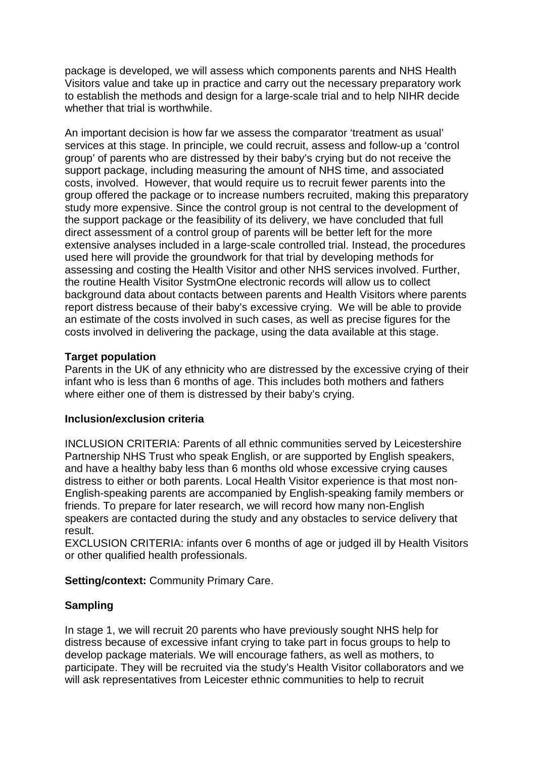package is developed, we will assess which components parents and NHS Health Visitors value and take up in practice and carry out the necessary preparatory work to establish the methods and design for a large-scale trial and to help NIHR decide whether that trial is worthwhile.

An important decision is how far we assess the comparator 'treatment as usual' services at this stage. In principle, we could recruit, assess and follow-up a 'control group' of parents who are distressed by their baby's crying but do not receive the support package, including measuring the amount of NHS time, and associated costs, involved. However, that would require us to recruit fewer parents into the group offered the package or to increase numbers recruited, making this preparatory study more expensive. Since the control group is not central to the development of the support package or the feasibility of its delivery, we have concluded that full direct assessment of a control group of parents will be better left for the more extensive analyses included in a large-scale controlled trial. Instead, the procedures used here will provide the groundwork for that trial by developing methods for assessing and costing the Health Visitor and other NHS services involved. Further, the routine Health Visitor SystmOne electronic records will allow us to collect background data about contacts between parents and Health Visitors where parents report distress because of their baby's excessive crying. We will be able to provide an estimate of the costs involved in such cases, as well as precise figures for the costs involved in delivering the package, using the data available at this stage.

### **Target population**

Parents in the UK of any ethnicity who are distressed by the excessive crying of their infant who is less than 6 months of age. This includes both mothers and fathers where either one of them is distressed by their baby's crying.

### **Inclusion/exclusion criteria**

INCLUSION CRITERIA: Parents of all ethnic communities served by Leicestershire Partnership NHS Trust who speak English, or are supported by English speakers, and have a healthy baby less than 6 months old whose excessive crying causes distress to either or both parents. Local Health Visitor experience is that most non-English-speaking parents are accompanied by English-speaking family members or friends. To prepare for later research, we will record how many non-English speakers are contacted during the study and any obstacles to service delivery that result.

EXCLUSION CRITERIA: infants over 6 months of age or judged ill by Health Visitors or other qualified health professionals.

**Setting/context: Community Primary Care.** 

## **Sampling**

In stage 1, we will recruit 20 parents who have previously sought NHS help for distress because of excessive infant crying to take part in focus groups to help to develop package materials. We will encourage fathers, as well as mothers, to participate. They will be recruited via the study's Health Visitor collaborators and we will ask representatives from Leicester ethnic communities to help to recruit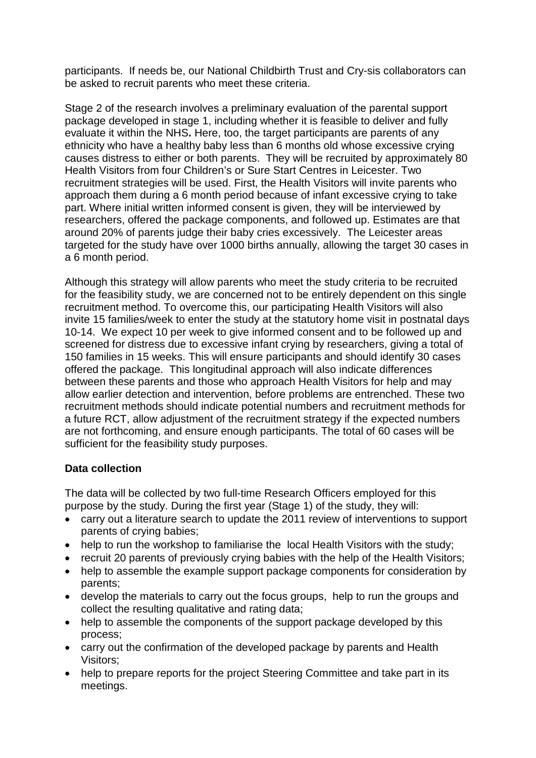participants. If needs be, our National Childbirth Trust and Cry-sis collaborators can be asked to recruit parents who meet these criteria.

Stage 2 of the research involves a preliminary evaluation of the parental support package developed in stage 1, including whether it is feasible to deliver and fully evaluate it within the NHS**.** Here, too, the target participants are parents of any ethnicity who have a healthy baby less than 6 months old whose excessive crying causes distress to either or both parents. They will be recruited by approximately 80 Health Visitors from four Children's or Sure Start Centres in Leicester. Two recruitment strategies will be used. First, the Health Visitors will invite parents who approach them during a 6 month period because of infant excessive crying to take part. Where initial written informed consent is given, they will be interviewed by researchers, offered the package components, and followed up. Estimates are that around 20% of parents judge their baby cries excessively. The Leicester areas targeted for the study have over 1000 births annually, allowing the target 30 cases in a 6 month period.

Although this strategy will allow parents who meet the study criteria to be recruited for the feasibility study, we are concerned not to be entirely dependent on this single recruitment method. To overcome this, our participating Health Visitors will also invite 15 families/week to enter the study at the statutory home visit in postnatal days 10-14. We expect 10 per week to give informed consent and to be followed up and screened for distress due to excessive infant crying by researchers, giving a total of 150 families in 15 weeks. This will ensure participants and should identify 30 cases offered the package. This longitudinal approach will also indicate differences between these parents and those who approach Health Visitors for help and may allow earlier detection and intervention, before problems are entrenched. These two recruitment methods should indicate potential numbers and recruitment methods for a future RCT, allow adjustment of the recruitment strategy if the expected numbers are not forthcoming, and ensure enough participants. The total of 60 cases will be sufficient for the feasibility study purposes.

### **Data collection**

The data will be collected by two full-time Research Officers employed for this purpose by the study. During the first year (Stage 1) of the study, they will:

- carry out a literature search to update the 2011 review of interventions to support parents of crying babies;
- help to run the workshop to familiarise the local Health Visitors with the study;
- recruit 20 parents of previously crying babies with the help of the Health Visitors;
- help to assemble the example support package components for consideration by parents;
- develop the materials to carry out the focus groups, help to run the groups and collect the resulting qualitative and rating data;
- help to assemble the components of the support package developed by this process;
- carry out the confirmation of the developed package by parents and Health Visitors;
- help to prepare reports for the project Steering Committee and take part in its meetings.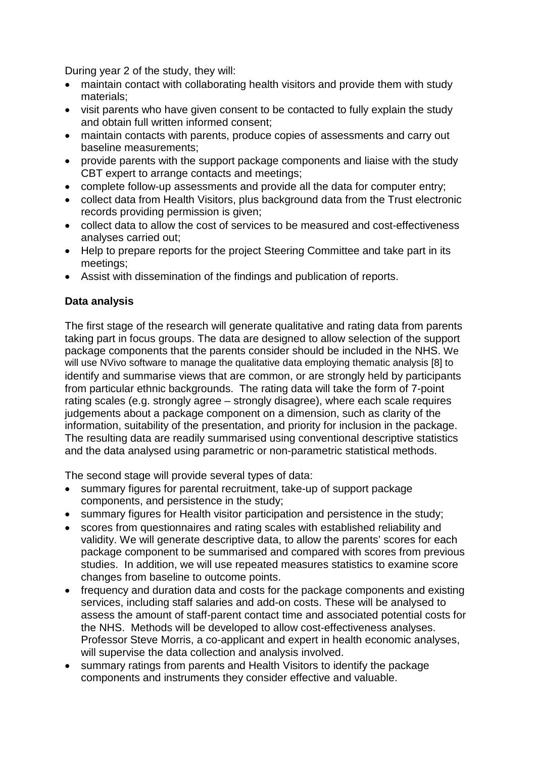During year 2 of the study, they will:

- maintain contact with collaborating health visitors and provide them with study materials;
- visit parents who have given consent to be contacted to fully explain the study and obtain full written informed consent;
- maintain contacts with parents, produce copies of assessments and carry out baseline measurements;
- provide parents with the support package components and liaise with the study CBT expert to arrange contacts and meetings;
- complete follow-up assessments and provide all the data for computer entry;
- collect data from Health Visitors, plus background data from the Trust electronic records providing permission is given;
- collect data to allow the cost of services to be measured and cost-effectiveness analyses carried out;
- Help to prepare reports for the project Steering Committee and take part in its meetings;
- Assist with dissemination of the findings and publication of reports.

### **Data analysis**

The first stage of the research will generate qualitative and rating data from parents taking part in focus groups. The data are designed to allow selection of the support package components that the parents consider should be included in the NHS. We will use NVivo software to manage the qualitative data employing thematic analysis [8] to identify and summarise views that are common, or are strongly held by participants from particular ethnic backgrounds. The rating data will take the form of 7-point rating scales (e.g. strongly agree – strongly disagree), where each scale requires judgements about a package component on a dimension, such as clarity of the information, suitability of the presentation, and priority for inclusion in the package. The resulting data are readily summarised using conventional descriptive statistics and the data analysed using parametric or non-parametric statistical methods.

The second stage will provide several types of data:

- summary figures for parental recruitment, take-up of support package components, and persistence in the study;
- summary figures for Health visitor participation and persistence in the study;
- scores from questionnaires and rating scales with established reliability and validity. We will generate descriptive data, to allow the parents' scores for each package component to be summarised and compared with scores from previous studies. In addition, we will use repeated measures statistics to examine score changes from baseline to outcome points.
- frequency and duration data and costs for the package components and existing services, including staff salaries and add-on costs. These will be analysed to assess the amount of staff-parent contact time and associated potential costs for the NHS. Methods will be developed to allow cost-effectiveness analyses. Professor Steve Morris, a co-applicant and expert in health economic analyses, will supervise the data collection and analysis involved.
- summary ratings from parents and Health Visitors to identify the package components and instruments they consider effective and valuable.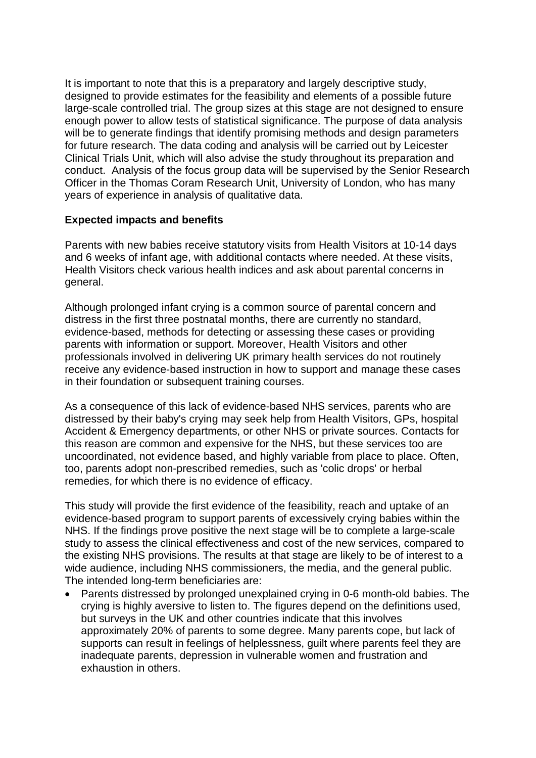It is important to note that this is a preparatory and largely descriptive study, designed to provide estimates for the feasibility and elements of a possible future large-scale controlled trial. The group sizes at this stage are not designed to ensure enough power to allow tests of statistical significance. The purpose of data analysis will be to generate findings that identify promising methods and design parameters for future research. The data coding and analysis will be carried out by Leicester Clinical Trials Unit, which will also advise the study throughout its preparation and conduct. Analysis of the focus group data will be supervised by the Senior Research Officer in the Thomas Coram Research Unit, University of London, who has many years of experience in analysis of qualitative data.

### **Expected impacts and benefits**

Parents with new babies receive statutory visits from Health Visitors at 10-14 days and 6 weeks of infant age, with additional contacts where needed. At these visits, Health Visitors check various health indices and ask about parental concerns in general.

Although prolonged infant crying is a common source of parental concern and distress in the first three postnatal months, there are currently no standard, evidence-based, methods for detecting or assessing these cases or providing parents with information or support. Moreover, Health Visitors and other professionals involved in delivering UK primary health services do not routinely receive any evidence-based instruction in how to support and manage these cases in their foundation or subsequent training courses.

As a consequence of this lack of evidence-based NHS services, parents who are distressed by their baby's crying may seek help from Health Visitors, GPs, hospital Accident & Emergency departments, or other NHS or private sources. Contacts for this reason are common and expensive for the NHS, but these services too are uncoordinated, not evidence based, and highly variable from place to place. Often, too, parents adopt non-prescribed remedies, such as 'colic drops' or herbal remedies, for which there is no evidence of efficacy.

This study will provide the first evidence of the feasibility, reach and uptake of an evidence-based program to support parents of excessively crying babies within the NHS. If the findings prove positive the next stage will be to complete a large-scale study to assess the clinical effectiveness and cost of the new services, compared to the existing NHS provisions. The results at that stage are likely to be of interest to a wide audience, including NHS commissioners, the media, and the general public. The intended long-term beneficiaries are:

• Parents distressed by prolonged unexplained crying in 0-6 month-old babies. The crying is highly aversive to listen to. The figures depend on the definitions used, but surveys in the UK and other countries indicate that this involves approximately 20% of parents to some degree. Many parents cope, but lack of supports can result in feelings of helplessness, guilt where parents feel they are inadequate parents, depression in vulnerable women and frustration and exhaustion in others.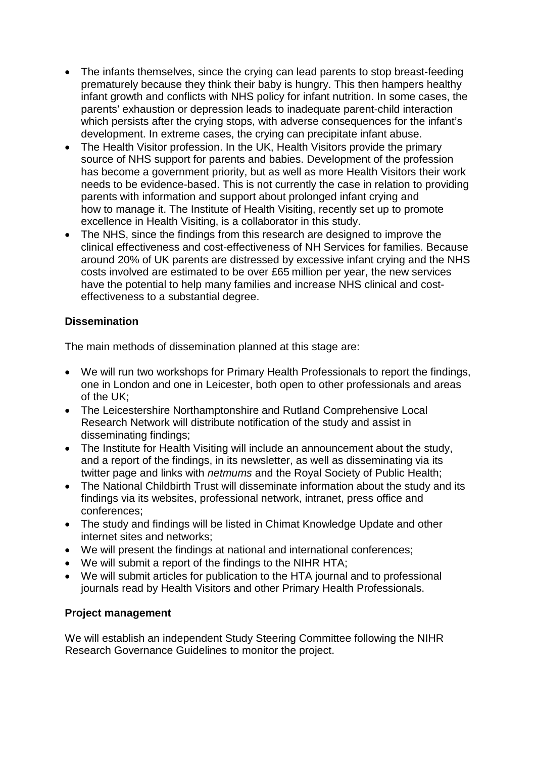- The infants themselves, since the crying can lead parents to stop breast-feeding prematurely because they think their baby is hungry. This then hampers healthy infant growth and conflicts with NHS policy for infant nutrition. In some cases, the parents' exhaustion or depression leads to inadequate parent-child interaction which persists after the crying stops, with adverse consequences for the infant's development. In extreme cases, the crying can precipitate infant abuse.
- The Health Visitor profession. In the UK, Health Visitors provide the primary source of NHS support for parents and babies. Development of the profession has become a government priority, but as well as more Health Visitors their work needs to be evidence-based. This is not currently the case in relation to providing parents with information and support about prolonged infant crying and how to manage it. The Institute of Health Visiting, recently set up to promote excellence in Health Visiting, is a collaborator in this study.
- The NHS, since the findings from this research are designed to improve the clinical effectiveness and cost-effectiveness of NH Services for families. Because around 20% of UK parents are distressed by excessive infant crying and the NHS costs involved are estimated to be over £65 million per year, the new services have the potential to help many families and increase NHS clinical and costeffectiveness to a substantial degree.

# **Dissemination**

The main methods of dissemination planned at this stage are:

- We will run two workshops for Primary Health Professionals to report the findings, one in London and one in Leicester, both open to other professionals and areas of the UK;
- The Leicestershire Northamptonshire and Rutland Comprehensive Local Research Network will distribute notification of the study and assist in disseminating findings;
- The Institute for Health Visiting will include an announcement about the study, and a report of the findings, in its newsletter, as well as disseminating via its twitter page and links with *netmums* and the Royal Society of Public Health;
- The National Childbirth Trust will disseminate information about the study and its findings via its websites, professional network, intranet, press office and conferences;
- The study and findings will be listed in Chimat Knowledge Update and other internet sites and networks;
- We will present the findings at national and international conferences;
- We will submit a report of the findings to the NIHR HTA;
- We will submit articles for publication to the HTA journal and to professional journals read by Health Visitors and other Primary Health Professionals.

## **Project management**

We will establish an independent Study Steering Committee following the NIHR Research Governance Guidelines to monitor the project.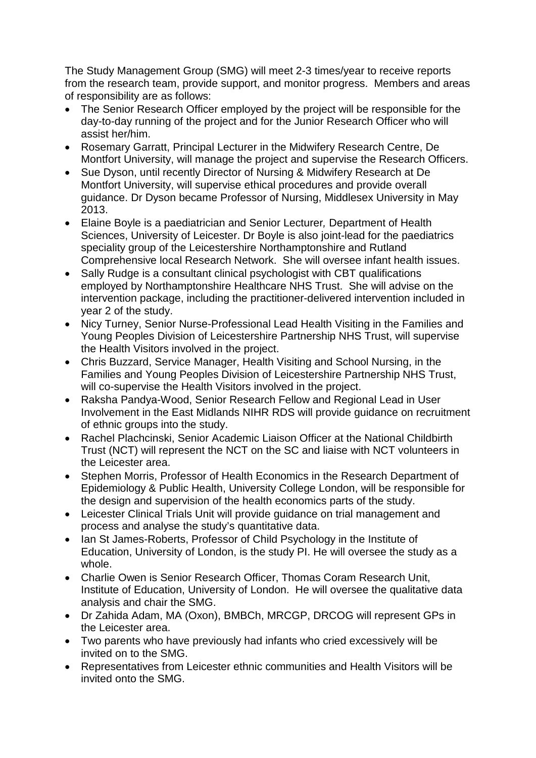The Study Management Group (SMG) will meet 2-3 times/year to receive reports from the research team, provide support, and monitor progress. Members and areas of responsibility are as follows:

- The Senior Research Officer employed by the project will be responsible for the day-to-day running of the project and for the Junior Research Officer who will assist her/him.
- Rosemary Garratt, Principal Lecturer in the Midwifery Research Centre, De Montfort University, will manage the project and supervise the Research Officers.
- Sue Dyson, until recently Director of Nursing & Midwifery Research at De Montfort University, will supervise ethical procedures and provide overall guidance. Dr Dyson became Professor of Nursing, Middlesex University in May 2013.
- Elaine Boyle is a paediatrician and Senior Lecturer*,* Department of Health Sciences, University of Leicester. Dr Boyle is also joint-lead for the paediatrics speciality group of the Leicestershire Northamptonshire and Rutland Comprehensive local Research Network. She will oversee infant health issues.
- Sally Rudge is a consultant clinical psychologist with CBT qualifications employed by Northamptonshire Healthcare NHS Trust. She will advise on the intervention package, including the practitioner-delivered intervention included in year 2 of the study.
- Nicy Turney, Senior Nurse-Professional Lead Health Visiting in the Families and Young Peoples Division of Leicestershire Partnership NHS Trust, will supervise the Health Visitors involved in the project.
- Chris Buzzard, Service Manager, Health Visiting and School Nursing, in the Families and Young Peoples Division of Leicestershire Partnership NHS Trust, will co-supervise the Health Visitors involved in the project.
- Raksha Pandya-Wood, Senior Research Fellow and Regional Lead in User Involvement in the East Midlands NIHR RDS will provide guidance on recruitment of ethnic groups into the study.
- Rachel Plachcinski, Senior Academic Liaison Officer at the National Childbirth Trust (NCT) will represent the NCT on the SC and liaise with NCT volunteers in the Leicester area.
- Stephen Morris, Professor of Health Economics in the Research Department of Epidemiology & Public Health, University College London, will be responsible for the design and supervision of the health economics parts of the study.
- Leicester Clinical Trials Unit will provide guidance on trial management and process and analyse the study's quantitative data.
- Ian St James-Roberts, Professor of Child Psychology in the Institute of Education, University of London, is the study PI. He will oversee the study as a whole.
- Charlie Owen is Senior Research Officer, Thomas Coram Research Unit, Institute of Education, University of London. He will oversee the qualitative data analysis and chair the SMG.
- Dr Zahida Adam, MA (Oxon), BMBCh, MRCGP, DRCOG will represent GPs in the Leicester area.
- Two parents who have previously had infants who cried excessively will be invited on to the SMG.
- Representatives from Leicester ethnic communities and Health Visitors will be invited onto the SMG.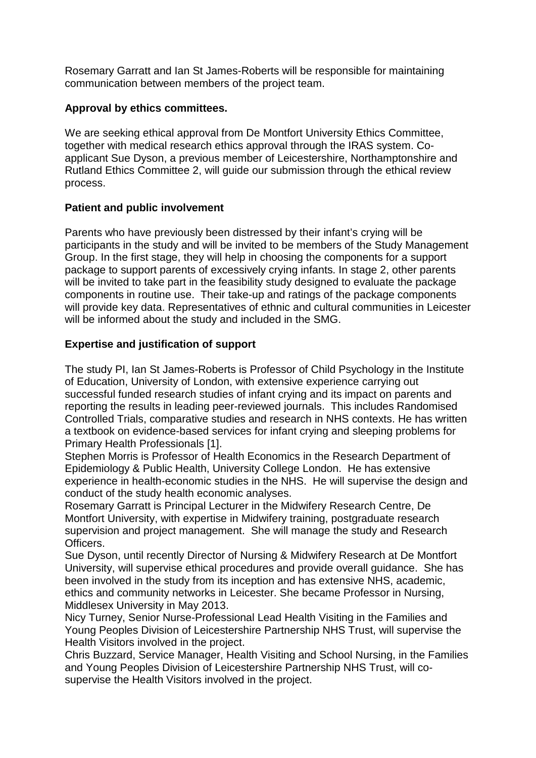Rosemary Garratt and Ian St James-Roberts will be responsible for maintaining communication between members of the project team.

### **Approval by ethics committees.**

We are seeking ethical approval from De Montfort University Ethics Committee, together with medical research ethics approval through the IRAS system. Coapplicant Sue Dyson, a previous member of Leicestershire, Northamptonshire and Rutland Ethics Committee 2, will guide our submission through the ethical review process.

### **Patient and public involvement**

Parents who have previously been distressed by their infant's crying will be participants in the study and will be invited to be members of the Study Management Group. In the first stage, they will help in choosing the components for a support package to support parents of excessively crying infants. In stage 2, other parents will be invited to take part in the feasibility study designed to evaluate the package components in routine use. Their take-up and ratings of the package components will provide key data. Representatives of ethnic and cultural communities in Leicester will be informed about the study and included in the SMG.

### **Expertise and justification of support**

The study PI, Ian St James-Roberts is Professor of Child Psychology in the Institute of Education, University of London, with extensive experience carrying out successful funded research studies of infant crying and its impact on parents and reporting the results in leading peer-reviewed journals. This includes Randomised Controlled Trials, comparative studies and research in NHS contexts. He has written a textbook on evidence-based services for infant crying and sleeping problems for Primary Health Professionals [1].

Stephen Morris is Professor of Health Economics in the Research Department of Epidemiology & Public Health, University College London. He has extensive experience in health-economic studies in the NHS. He will supervise the design and conduct of the study health economic analyses.

Rosemary Garratt is Principal Lecturer in the Midwifery Research Centre, De Montfort University, with expertise in Midwifery training, postgraduate research supervision and project management. She will manage the study and Research Officers.

Sue Dyson, until recently Director of Nursing & Midwifery Research at De Montfort University, will supervise ethical procedures and provide overall guidance. She has been involved in the study from its inception and has extensive NHS, academic, ethics and community networks in Leicester. She became Professor in Nursing, Middlesex University in May 2013.

Nicy Turney, Senior Nurse-Professional Lead Health Visiting in the Families and Young Peoples Division of Leicestershire Partnership NHS Trust, will supervise the Health Visitors involved in the project.

Chris Buzzard, Service Manager, Health Visiting and School Nursing, in the Families and Young Peoples Division of Leicestershire Partnership NHS Trust, will cosupervise the Health Visitors involved in the project.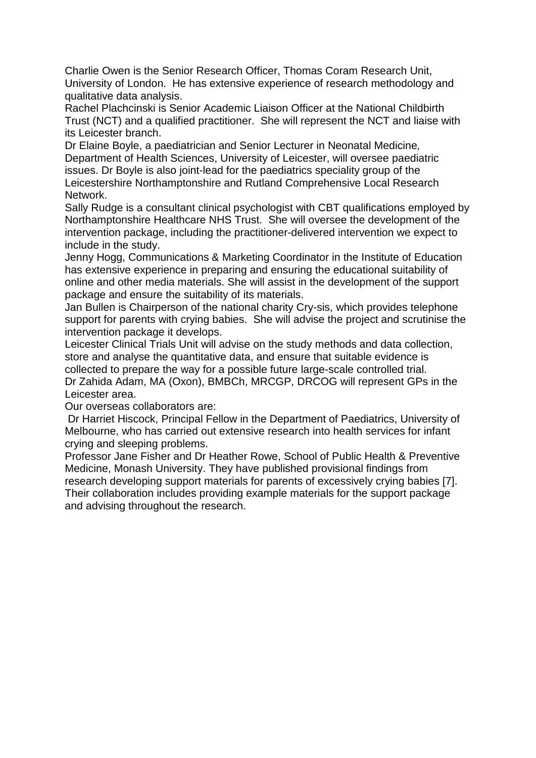Charlie Owen is the Senior Research Officer, Thomas Coram Research Unit, University of London. He has extensive experience of research methodology and qualitative data analysis.

Rachel Plachcinski is Senior Academic Liaison Officer at the National Childbirth Trust (NCT) and a qualified practitioner. She will represent the NCT and liaise with its Leicester branch.

Dr Elaine Boyle, a paediatrician and Senior Lecturer in Neonatal Medicine*,*  Department of Health Sciences, University of Leicester, will oversee paediatric issues. Dr Boyle is also joint-lead for the paediatrics speciality group of the Leicestershire Northamptonshire and Rutland Comprehensive Local Research Network.

Sally Rudge is a consultant clinical psychologist with CBT qualifications employed by Northamptonshire Healthcare NHS Trust. She will oversee the development of the intervention package, including the practitioner-delivered intervention we expect to include in the study.

Jenny Hogg, Communications & Marketing Coordinator in the Institute of Education has extensive experience in preparing and ensuring the educational suitability of online and other media materials. She will assist in the development of the support package and ensure the suitability of its materials.

Jan Bullen is Chairperson of the national charity Cry-sis, which provides telephone support for parents with crying babies. She will advise the project and scrutinise the intervention package it develops.

Leicester Clinical Trials Unit will advise on the study methods and data collection, store and analyse the quantitative data, and ensure that suitable evidence is collected to prepare the way for a possible future large-scale controlled trial. Dr Zahida Adam, MA (Oxon), BMBCh, MRCGP, DRCOG will represent GPs in the Leicester area.

Our overseas collaborators are:

Dr Harriet Hiscock, Principal Fellow in the Department of Paediatrics, University of Melbourne, who has carried out extensive research into health services for infant crying and sleeping problems.

Professor Jane Fisher and Dr Heather Rowe, School of Public Health & Preventive Medicine, Monash University. They have published provisional findings from research developing support materials for parents of excessively crying babies [7]. Their collaboration includes providing example materials for the support package and advising throughout the research.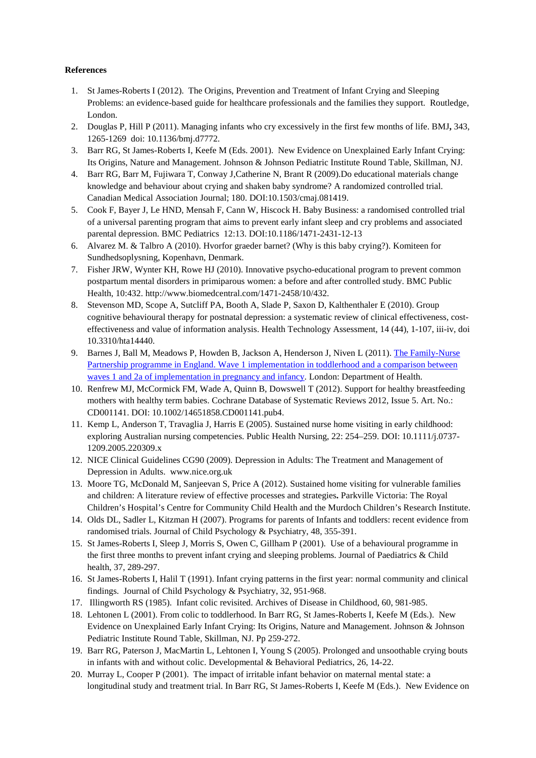#### **References**

- 1. St James-Roberts I (2012). The Origins, Prevention and Treatment of Infant Crying and Sleeping Problems: an evidence-based guide for healthcare professionals and the families they support. Routledge, London.
- 2. Douglas P, Hill P (2011). Managing infants who cry excessively in the first few months of life. BMJ**,** 343, 1265-1269 doi: 10.1136/bmj.d7772.
- 3. Barr RG, St James-Roberts I, Keefe M (Eds. 2001). New Evidence on Unexplained Early Infant Crying: Its Origins, Nature and Management. Johnson & Johnson Pediatric Institute Round Table, Skillman, NJ.
- 4. Barr RG, Barr M, Fujiwara T, Conway J,Catherine N, Brant R (2009).Do educational materials change knowledge and behaviour about crying and shaken baby syndrome? A randomized controlled trial. Canadian Medical Association Journal; 180. DOI:10.1503/cmaj.081419.
- 5. Cook F, Bayer J, Le HND, Mensah F, Cann W, Hiscock H. Baby Business: a randomised controlled trial of a universal parenting program that aims to prevent early infant sleep and cry problems and associated parental depression. BMC Pediatrics 12:13. DOI:10.1186/1471-2431-12-13
- 6. Alvarez M. & Talbro A (2010). Hvorfor graeder barnet? (Why is this baby crying?). Komiteen for Sundhedsoplysning, Kopenhavn, Denmark.
- 7. Fisher JRW, Wynter KH, Rowe HJ (2010). Innovative psycho-educational program to prevent common postpartum mental disorders in primiparous women: a before and after controlled study. BMC Public Health, 10:432. http://www.biomedcentral.com/1471-2458/10/432.
- 8. Stevenson MD, Scope A, Sutcliff PA, Booth A, Slade P, Saxon D, Kalthenthaler E (2010). Group cognitive behavioural therapy for postnatal depression: a systematic review of clinical effectiveness, costeffectiveness and value of information analysis. Health Technology Assessment, 14 (44), 1-107, iii-iv, doi 10.3310/hta14440.
- 9. Barnes J, Ball M, Meadows P, Howden B, Jackson A, Henderson J, Niven L (2011). The Family-Nurse Partnership programme in England. Wave 1 implementation in toddlerhood and a comparison between [waves 1 and 2a of implementation in pregnancy and infancy.](http://www.dh.gov.uk/en/Publicationsandstatistics/Publications/PublicationsPolicyAndGuidance/DH_123238) London: Department of Health.
- 10. Renfrew MJ, McCormick FM, Wade A, Quinn B, Dowswell T (2012). Support for healthy breastfeeding mothers with healthy term babies. Cochrane Database of Systematic Reviews 2012, Issue 5. Art. No.: CD001141. DOI: 10.1002/14651858.CD001141.pub4.
- 11. Kemp L, Anderson T, Travaglia J, Harris E (2005). Sustained nurse home visiting in early childhood: exploring Australian nursing competencies. Public Health Nursing, 22: 254–259. DOI: 10.1111/j.0737- 1209.2005.220309.x
- 12. NICE Clinical Guidelines CG90 (2009). Depression in Adults: The Treatment and Management of Depression in Adults. www.nice.org.uk
- 13. Moore TG, McDonald M, Sanjeevan S, Price A (2012). Sustained home visiting for vulnerable families and children: A literature review of effective processes and strategies**.** Parkville Victoria: The Royal Children's Hospital's Centre for Community Child Health and the Murdoch Children's Research Institute.
- 14. Olds DL, Sadler L, Kitzman H (2007). Programs for parents of Infants and toddlers: recent evidence from randomised trials. Journal of Child Psychology & Psychiatry, 48, 355-391.
- 15. St James-Roberts I, Sleep J, Morris S, Owen C, Gillham P (2001). Use of a behavioural programme in the first three months to prevent infant crying and sleeping problems. Journal of Paediatrics & Child health, 37, 289-297.
- 16. St James-Roberts I, Halil T (1991). Infant crying patterns in the first year: normal community and clinical findings. Journal of Child Psychology & Psychiatry, 32, 951-968.
- 17. Illingworth RS (1985). Infant colic revisited. Archives of Disease in Childhood, 60, 981-985.
- 18. Lehtonen L (2001). From colic to toddlerhood. In Barr RG, St James-Roberts I, Keefe M (Eds.). New Evidence on Unexplained Early Infant Crying: Its Origins, Nature and Management. Johnson & Johnson Pediatric Institute Round Table, Skillman, NJ. Pp 259-272.
- 19. Barr RG, Paterson J, MacMartin L, Lehtonen I, Young S (2005). Prolonged and unsoothable crying bouts in infants with and without colic. Developmental & Behavioral Pediatrics, 26, 14-22.
- 20. Murray L, Cooper P (2001). The impact of irritable infant behavior on maternal mental state: a longitudinal study and treatment trial. In Barr RG, St James-Roberts I, Keefe M (Eds.). New Evidence on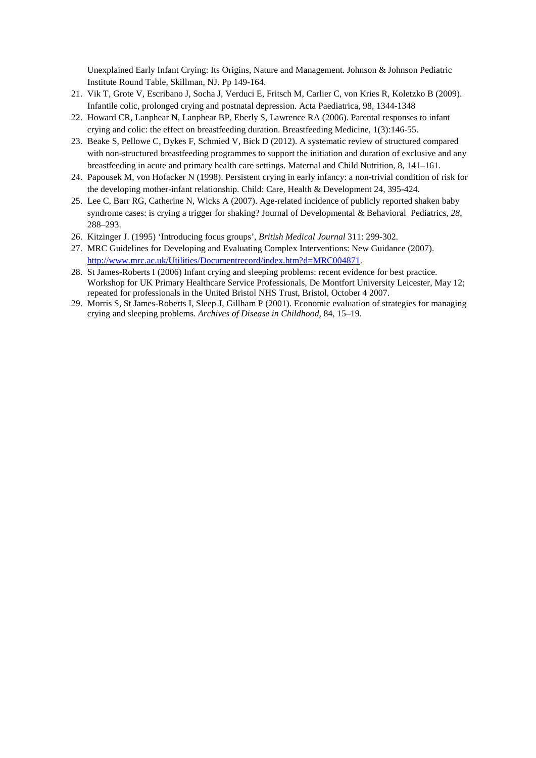Unexplained Early Infant Crying: Its Origins, Nature and Management. Johnson & Johnson Pediatric Institute Round Table, Skillman, NJ. Pp 149-164.

- 21. Vik T, Grote V, Escribano J, Socha J, Verduci E, Fritsch M, Carlier C, von Kries R, Koletzko B (2009). Infantile colic, prolonged crying and postnatal depression. Acta Paediatrica, 98, 1344-1348
- 22. Howard CR, Lanphear N, Lanphear BP, Eberly S, Lawrence RA (2006). Parental responses to infant crying and colic: the effect on breastfeeding duration. Breastfeeding Medicine, 1(3):146-55.
- 23. Beake S, Pellowe C, Dykes F, Schmied V, Bick D (2012). A systematic review of structured compared with non-structured breastfeeding programmes to support the initiation and duration of exclusive and any breastfeeding in acute and primary health care settings. Maternal and Child Nutrition, 8, 141–161.
- 24. Papousek M, von Hofacker N (1998). Persistent crying in early infancy: a non-trivial condition of risk for the developing mother-infant relationship. Child: Care, Health & Development 24, 395-424.
- 25. Lee C, Barr RG, Catherine N, Wicks A (2007). Age-related incidence of publicly reported shaken baby syndrome cases: is crying a trigger for shaking? Journal of Developmental & Behavioral Pediatrics, *28,*  288–293.
- 26. Kitzinger J. (1995) 'Introducing focus groups', *British Medical Journal* 311: 299-302.
- 27. MRC Guidelines for Developing and Evaluating Complex Interventions: New Guidance (2007). [http://www.mrc.ac.uk/Utilities/Documentrecord/index.htm?d=MRC004871.](https://mail.ioe.ac.uk/owa/redir.aspx?C=Zki-cJpaakmmMSpq-TTglWuzB8A5oM9Izo0h9eD_WN71K01lWffrFMFlAoWFHalEbQ-3DzefK38.&URL=http%3a%2f%2fwww.mrc.ac.uk%2fUtilities%2fDocumentrecord%2findex.htm%3fd%3dMRC004871)
- 28. St James-Roberts I (2006) Infant crying and sleeping problems: recent evidence for best practice. Workshop for UK Primary Healthcare Service Professionals, De Montfort University Leicester, May 12; repeated for professionals in the United Bristol NHS Trust, Bristol, October 4 2007.
- 29. Morris S, St James-Roberts I, Sleep J, Gillham P (2001). Economic evaluation of strategies for managing crying and sleeping problems. *Archives of Disease in Childhood*, 84, 15–19.